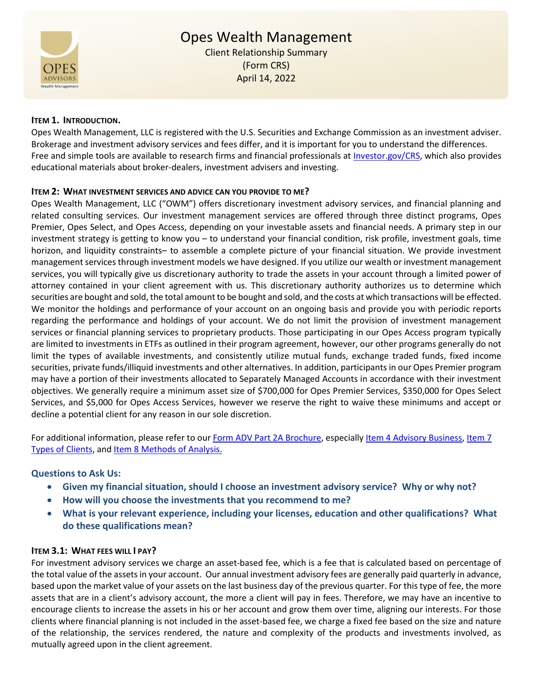

# **ITEM 1. INTRODUCTION.**

Opes Wealth Management, LLC is registered with the U.S. Securities and Exchange Commission as an investment adviser. Brokerage and investment advisory services and fees differ, and it is important for you to understand the differences. Free and simple tools are available to research firms and financial professionals at [Investor.gov/CRS,](https://www.investor.gov/CRS) which also provides educational materials about broker-dealers, investment advisers and investing.

#### **ITEM 2: WHAT INVESTMENT SERVICES AND ADVICE CAN YOU PROVIDE TO ME?**

Opes Wealth Management, LLC ("OWM") offers discretionary investment advisory services, and financial planning and related consulting services. Our investment management services are offered through three distinct programs, Opes Premier, Opes Select, and Opes Access, depending on your investable assets and financial needs. A primary step in our investment strategy is getting to know you – to understand your financial condition, risk profile, investment goals, time horizon, and liquidity constraints– to assemble a complete picture of your financial situation. We provide investment management services through investment models we have designed. If you utilize our wealth or investment management services, you will typically give us discretionary authority to trade the assets in your account through a limited power of attorney contained in your client agreement with us. This discretionary authority authorizes us to determine which securities are bought and sold, the total amount to be bought and sold, and the costs at which transactions will be effected. We monitor the holdings and performance of your account on an ongoing basis and provide you with periodic reports regarding the performance and holdings of your account. We do not limit the provision of investment management services or financial planning services to proprietary products. Those participating in our Opes Access program typically are limited to investments in ETFs as outlined in their program agreement, however, our other programs generally do not limit the types of available investments, and consistently utilize mutual funds, exchange traded funds, fixed income securities, private funds/illiquid investments and other alternatives. In addition, participants in our Opes Premier program may have a portion of their investments allocated to Separately Managed Accounts in accordance with their investment objectives. We generally require a minimum asset size of \$700,000 for Opes Premier Services, \$350,000 for Opes Select Services, and \$5,000 for Opes Access Services, however we reserve the right to waive these minimums and accept or decline a potential client for any reason in our sole discretion.

For additional information, please refer to our **Form ADV Part 2A Brochure**, especially [Item 4 Advisory Business,](https://files.adviserinfo.sec.gov/IAPD/Content/Common/crd_iapd_Brochure.aspx?BRCHR_VRSN_ID=754884#page=4) Item 7 [Types of Clients,](https://files.adviserinfo.sec.gov/IAPD/Content/Common/crd_iapd_Brochure.aspx?BRCHR_VRSN_ID=754884#page=12) an[d Item 8 Methods of Analysis.](https://files.adviserinfo.sec.gov/IAPD/Content/Common/crd_iapd_Brochure.aspx?BRCHR_VRSN_ID=754884#page=12)

# **Questions to Ask Us:**

- **Given my financial situation, should I choose an investment advisory service? Why or why not?**
- **How will you choose the investments that you recommend to me?**
- **What is your relevant experience, including your licenses, education and other qualifications? What do these qualifications mean?**

#### **ITEM 3.1: WHAT FEES WILL I PAY?**

For investment advisory services we charge an asset-based fee, which is a fee that is calculated based on percentage of the total value of the assets in your account. Our annual investment advisory fees are generally paid quarterly in advance, based upon the market value of your assets on the last business day of the previous quarter. For this type of fee, the more assets that are in a client's advisory account, the more a client will pay in fees. Therefore, we may have an incentive to encourage clients to increase the assets in his or her account and grow them over time, aligning our interests. For those clients where financial planning is not included in the asset-based fee, we charge a fixed fee based on the size and nature of the relationship, the services rendered, the nature and complexity of the products and investments involved, as mutually agreed upon in the client agreement.